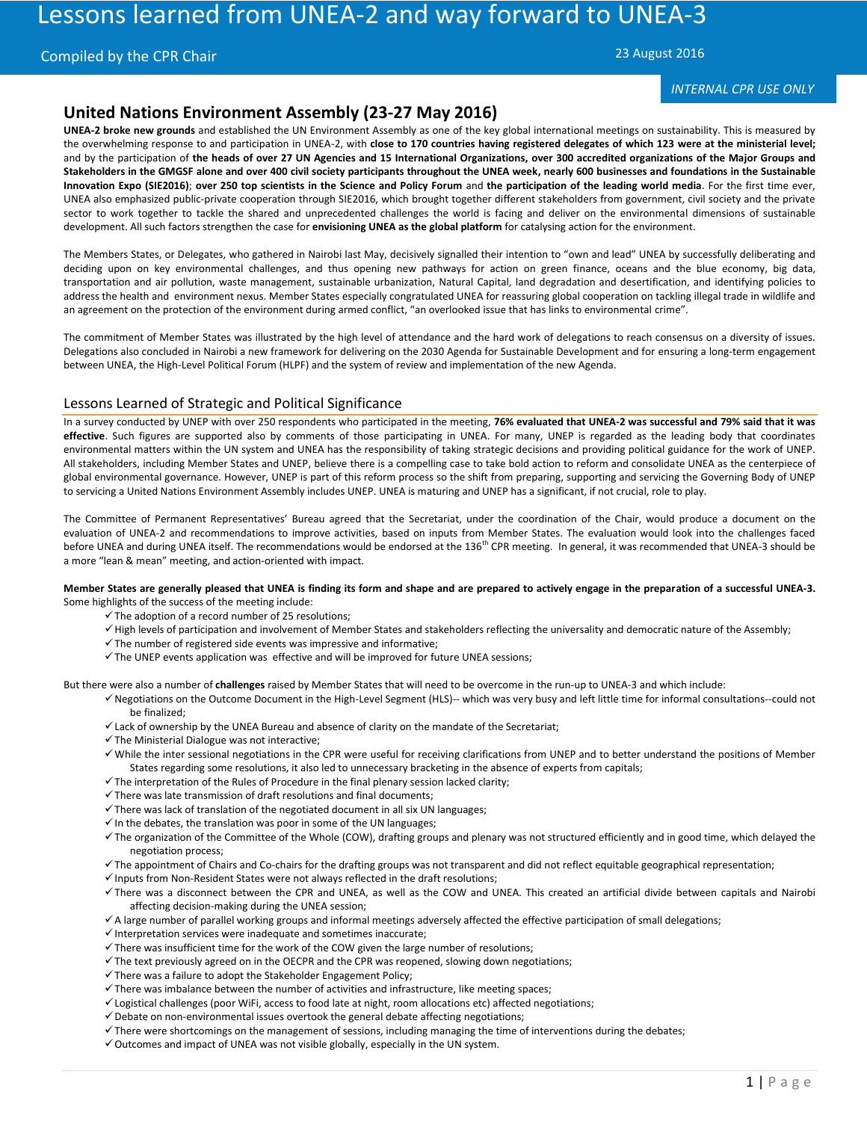# Lessons learned from UNEA-2 and way forward to UNEA-3

# Compiled by the CPR Chair

23 August 2016

# *INTERNAL CPR USE ONLY*

# **United Nations Environment Assembly (23-27 May 2016)**

**UNEA-2 broke new grounds** and established the UN Environment Assembly as one of the key global international meetings on sustainability. This is measured by the overwhelming response to and participation in UNEA-2, with **close to 170 countries having registered delegates of which 123 were at the ministerial level;** and by the participation of **the heads of over 27 UN Agencies and 15 International Organizations, over 300 accredited organizations of the Major Groups and Stakeholders in the GMGSF alone and over 400 civil society participants throughout the UNEA week, nearly 600 businesses and foundations in the Sustainable Innovation Expo (SIE2016)**; **over 250 top scientists in the Science and Policy Forum** and **the participation of the leading world media**. For the first time ever, UNEA also emphasized public-private cooperation through SIE2016, which brought together different stakeholders from government, civil society and the private sector to work together to tackle the shared and unprecedented challenges the world is facing and deliver on the environmental dimensions of sustainable development. All such factors strengthen the case for **envisioning UNEA as the global platform** for catalysing action for the environment.

The Members States, or Delegates, who gathered in Nairobi last May, decisively signalled their intention to "own and lead" UNEA by successfully deliberating and deciding upon on key environmental challenges, and thus opening new pathways for action on green finance, oceans and the blue economy, big data, transportation and air pollution, waste management, sustainable urbanization, Natural Capital, land degradation and desertification, and identifying policies to address the health and environment nexus. Member States especially congratulated UNEA for reassuring global cooperation on tackling illegal trade in wildlife and an agreement on the protection of the environment during armed conflict, "an overlooked issue that has links to environmental crime".

The commitment of Member States was illustrated by the high level of attendance and the hard work of delegations to reach consensus on a diversity of issues. Delegations also concluded in Nairobi a new framework for delivering on the 2030 Agenda for Sustainable Development and for ensuring a long-term engagement between UNEA, the High-Level Political Forum (HLPF) and the system of review and implementation of the new Agenda.

# Lessons Learned of Strategic and Political Significance

In a survey conducted by UNEP with over 250 respondents who participated in the meeting, **76% evaluated that UNEA-2 was successful and 79% said that it was effective**. Such figures are supported also by comments of those participating in UNEA. For many, UNEP is regarded as the leading body that coordinates environmental matters within the UN system and UNEA has the responsibility of taking strategic decisions and providing political guidance for the work of UNEP. All stakeholders, including Member States and UNEP, believe there is a compelling case to take bold action to reform and consolidate UNEA as the centerpiece of global environmental governance. However, UNEP is part of this reform process so the shift from preparing, supporting and servicing the Governing Body of UNEP to servicing a United Nations Environment Assembly includes UNEP. UNEA is maturing and UNEP has a significant, if not crucial, role to play.

The Committee of Permanent Representatives' Bureau agreed that the Secretariat, under the coordination of the Chair, would produce a document on the evaluation of UNEA-2 and recommendations to improve activities, based on inputs from Member States. The evaluation would look into the challenges faced before UNEA and during UNEA itself. The recommendations would be endorsed at the 136<sup>th</sup> CPR meeting. In general, it was recommended that UNEA-3 should be a more "lean & mean" meeting, and action-oriented with impact.

#### **Member States are generally pleased that UNEA is finding its form and shape and are prepared to actively engage in the preparation of a successful UNEA-3.**  Some highlights of the success of the meeting include:

- $\checkmark$  The adoption of a record number of 25 resolutions;
- $\checkmark$  High levels of participation and involvement of Member States and stakeholders reflecting the universality and democratic nature of the Assembly;
- $\checkmark$  The number of registered side events was impressive and informative;
- $\checkmark$  The UNEP events application was effective and will be improved for future UNEA sessions;

But there were also a number of **challenges** raised by Member States that will need to be overcome in the run-up to UNEA-3 and which include:

- Negotiations on the Outcome Document in the High-Level Segment (HLS)-- which was very busy and left little time for informal consultations--could not be finalized;
- $\checkmark$  Lack of ownership by the UNEA Bureau and absence of clarity on the mandate of the Secretariat;
- $\checkmark$  The Ministerial Dialogue was not interactive;
- While the inter sessional negotiations in the CPR were useful for receiving clarifications from UNEP and to better understand the positions of Member States regarding some resolutions, it also led to unnecessary bracketing in the absence of experts from capitals;
- $\checkmark$  The interpretation of the Rules of Procedure in the final plenary session lacked clarity;
- $\checkmark$  There was late transmission of draft resolutions and final documents;
- $\checkmark$  There was lack of translation of the negotiated document in all six UN languages;
- $\checkmark$  In the debates, the translation was poor in some of the UN languages;
- $\checkmark$  The organization of the Committee of the Whole (COW), drafting groups and plenary was not structured efficiently and in good time, which delayed the negotiation process;
- The appointment of Chairs and Co-chairs for the drafting groups was not transparent and did not reflect equitable geographical representation;
- $\checkmark$  Inputs from Non-Resident States were not always reflected in the draft resolutions;
- There was a disconnect between the CPR and UNEA, as well as the COW and UNEA. This created an artificial divide between capitals and Nairobi affecting decision-making during the UNEA session;
- A large number of parallel working groups and informal meetings adversely affected the effective participation of small delegations;
- $\checkmark$  Interpretation services were inadequate and sometimes inaccurate;
- $\checkmark$  There was insufficient time for the work of the COW given the large number of resolutions;
- $\checkmark$  The text previously agreed on in the OECPR and the CPR was reopened, slowing down negotiations;
- $\checkmark$  There was a failure to adopt the Stakeholder Engagement Policy;
- $\checkmark$  There was imbalance between the number of activities and infrastructure, like meeting spaces;
- Logistical challenges (poor WiFi, access to food late at night, room allocations etc) affected negotiations;
- $\checkmark$  Debate on non-environmental issues overtook the general debate affecting negotiations;
- $\checkmark$  There were shortcomings on the management of sessions, including managing the time of interventions during the debates;
- $\checkmark$  Outcomes and impact of UNEA was not visible globally, especially in the UN system.